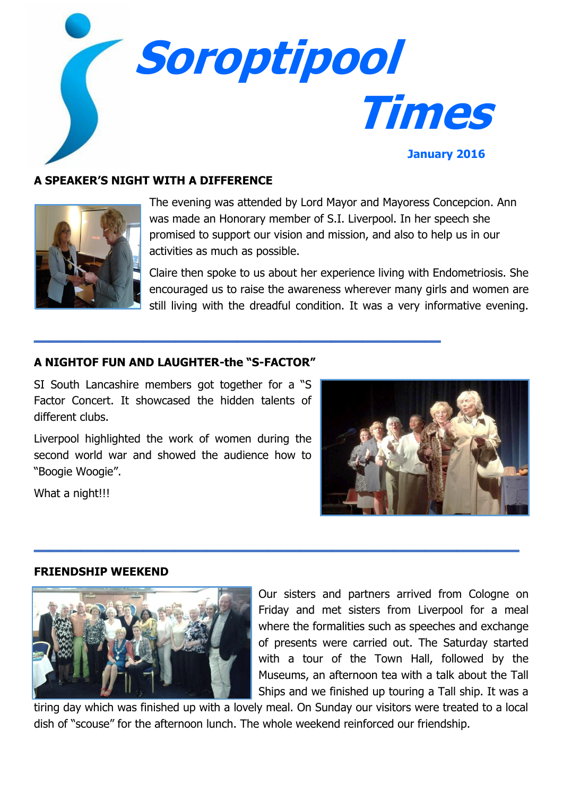

# **A SPEAKER'S NIGHT WITH A DIFFERENCE**



The evening was attended by Lord Mayor and Mayoress Concepcion. Ann was made an Honorary member of S.I. Liverpool. In her speech she promised to support our vision and mission, and also to help us in our activities as much as possible.

Claire then spoke to us about her experience living with Endometriosis. She encouraged us to raise the awareness wherever many girls and women are still living with the dreadful condition. It was a very informative evening.

## **A NIGHTOF FUN AND LAUGHTER-the "S-FACTOR"**

**\_\_\_\_\_\_\_\_\_\_\_\_\_\_\_\_\_\_\_\_\_\_\_\_\_\_**

SI South Lancashire members got together for a "S Factor Concert. It showcased the hidden talents of different clubs.

Liverpool highlighted the work of women during the second world war and showed the audience how to "Boogie Woogie".

What a night!!!



#### **FRIENDSHIP WEEKEND**



Our sisters and partners arrived from Cologne on Friday and met sisters from Liverpool for a meal where the formalities such as speeches and exchange of presents were carried out. The Saturday started with a tour of the Town Hall, followed by the Museums, an afternoon tea with a talk about the Tall Ships and we finished up touring a Tall ship. It was a

tiring day which was finished up with a lovely meal. On Sunday our visitors were treated to a local dish of "scouse" for the afternoon lunch. The whole weekend reinforced our friendship.

**\_\_\_\_\_\_\_\_\_\_\_\_\_\_\_\_\_\_\_\_\_\_\_\_\_\_\_\_\_\_\_**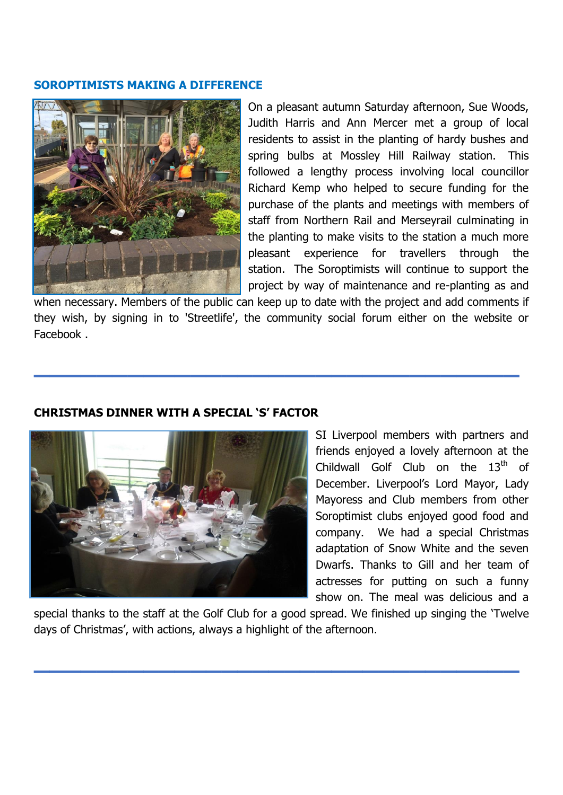#### **SOROPTIMISTS MAKING A DIFFERENCE**



On a pleasant autumn Saturday afternoon, Sue Woods, Judith Harris and Ann Mercer met a group of local residents to assist in the planting of hardy bushes and spring bulbs at Mossley Hill Railway station. This followed a lengthy process involving local councillor Richard Kemp who helped to secure funding for the purchase of the plants and meetings with members of staff from Northern Rail and Merseyrail culminating in the planting to make visits to the station a much more pleasant experience for travellers through the station. The Soroptimists will continue to support the project by way of maintenance and re-planting as and

when necessary. Members of the public can keep up to date with the project and add comments if they wish, by signing in to 'Streetlife', the community social forum either on the website or Facebook .

**\_\_\_\_\_\_\_\_\_\_\_\_\_\_\_\_\_\_\_\_\_\_\_\_\_\_\_\_\_\_\_**

### **CHRISTMAS DINNER WITH A SPECIAL 'S' FACTOR**



SI Liverpool members with partners and friends enjoyed a lovely afternoon at the Childwall Golf Club on the  $13<sup>th</sup>$  of December. Liverpool's Lord Mayor, Lady Mayoress and Club members from other Soroptimist clubs enjoyed good food and company. We had a special Christmas adaptation of Snow White and the seven Dwarfs. Thanks to Gill and her team of actresses for putting on such a funny show on. The meal was delicious and a

special thanks to the staff at the Golf Club for a good spread. We finished up singing the 'Twelve days of Christmas', with actions, always a highlight of the afternoon.

**\_\_\_\_\_\_\_\_\_\_\_\_\_\_\_\_\_\_\_\_\_\_\_\_\_\_\_\_\_\_\_**